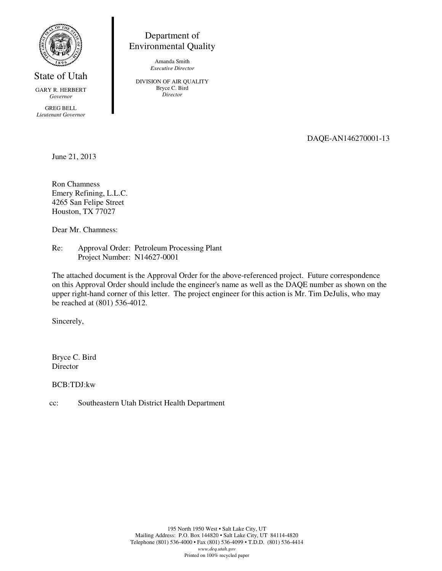

State of Utah

GARY R. HERBERT *Governor* 

GREG BELL *Lieutenant Governor*

Department of Environmental Quality

> Amanda Smith *Executive Director*

DIVISION OF AIR QUALITY Bryce C. Bird *Director* 

DAQE-AN146270001-13

June 21, 2013

Ron Chamness Emery Refining, L.L.C. 4265 San Felipe Street Houston, TX 77027

Dear Mr. Chamness:

Re: Approval Order: Petroleum Processing Plant Project Number: N14627-0001

The attached document is the Approval Order for the above-referenced project. Future correspondence on this Approval Order should include the engineer's name as well as the DAQE number as shown on the upper right-hand corner of this letter. The project engineer for this action is Mr. Tim DeJulis, who may be reached at (801) 536-4012.

Sincerely,

Bryce C. Bird **Director** 

BCB:TDJ:kw

cc: Southeastern Utah District Health Department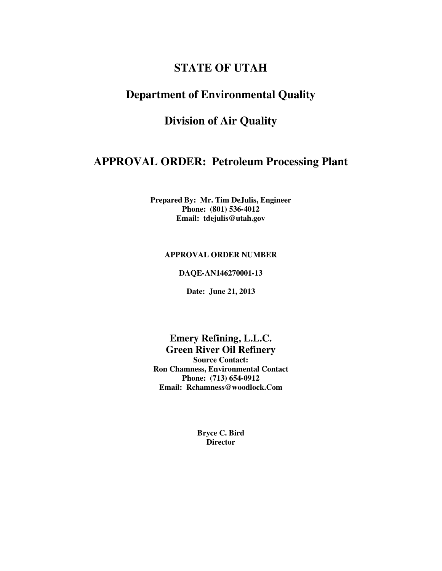# **STATE OF UTAH**

## **Department of Environmental Quality**

# **Division of Air Quality**

## **APPROVAL ORDER: Petroleum Processing Plant**

**Prepared By: Mr. Tim DeJulis, Engineer Phone: (801) 536-4012 Email: tdejulis@utah.gov** 

### **APPROVAL ORDER NUMBER**

**DAQE-AN146270001-13** 

**Date: June 21, 2013** 

**Emery Refining, L.L.C. Green River Oil Refinery Source Contact: Ron Chamness, Environmental Contact Phone: (713) 654-0912 Email: Rchamness@woodlock.Com** 

> **Bryce C. Bird Director**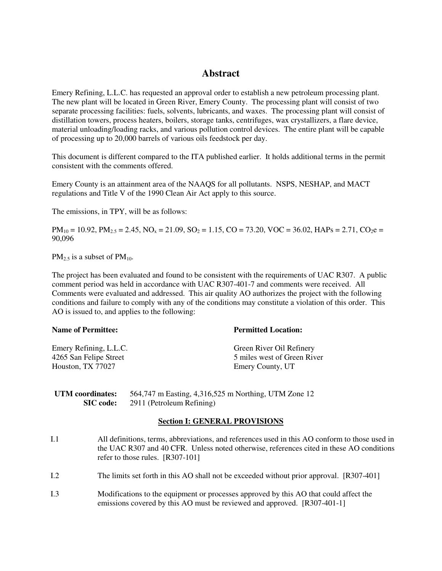### **Abstract**

Emery Refining, L.L.C. has requested an approval order to establish a new petroleum processing plant. The new plant will be located in Green River, Emery County. The processing plant will consist of two separate processing facilities: fuels, solvents, lubricants, and waxes. The processing plant will consist of distillation towers, process heaters, boilers, storage tanks, centrifuges, wax crystallizers, a flare device, material unloading/loading racks, and various pollution control devices. The entire plant will be capable of processing up to 20,000 barrels of various oils feedstock per day.

This document is different compared to the ITA published earlier. It holds additional terms in the permit consistent with the comments offered.

Emery County is an attainment area of the NAAQS for all pollutants. NSPS, NESHAP, and MACT regulations and Title V of the 1990 Clean Air Act apply to this source.

The emissions, in TPY, will be as follows:

 $PM_{10} = 10.92$ ,  $PM_{2.5} = 2.45$ ,  $NO_x = 21.09$ ,  $SO_2 = 1.15$ ,  $CO = 73.20$ ,  $VOC = 36.02$ ,  $HAPs = 2.71$ ,  $CO_2e =$ 90,096

 $PM_{2.5}$  is a subset of  $PM_{10}$ .

The project has been evaluated and found to be consistent with the requirements of UAC R307. A public comment period was held in accordance with UAC R307-401-7 and comments were received. All Comments were evaluated and addressed. This air quality AO authorizes the project with the following conditions and failure to comply with any of the conditions may constitute a violation of this order. This AO is issued to, and applies to the following:

| <b>Name of Permittee:</b> | <b>Permitted Location:</b>  |
|---------------------------|-----------------------------|
| Emery Refining, L.L.C.    | Green River Oil Refinery    |
| 4265 San Felipe Street    | 5 miles west of Green River |
| Houston, TX 77027         | Emery County, UT            |

| UTM coordinates: | 564,747 m Easting, 4,316,525 m Northing, UTM Zone 12 |
|------------------|------------------------------------------------------|
| <b>SIC</b> code: | 2911 (Petroleum Refining)                            |

#### **Section I: GENERAL PROVISIONS**

- I.1 All definitions, terms, abbreviations, and references used in this AO conform to those used in the UAC R307 and 40 CFR. Unless noted otherwise, references cited in these AO conditions refer to those rules. [R307-101]
- I.2 The limits set forth in this AO shall not be exceeded without prior approval. [R307-401]
- I.3 Modifications to the equipment or processes approved by this AO that could affect the emissions covered by this AO must be reviewed and approved. [R307-401-1]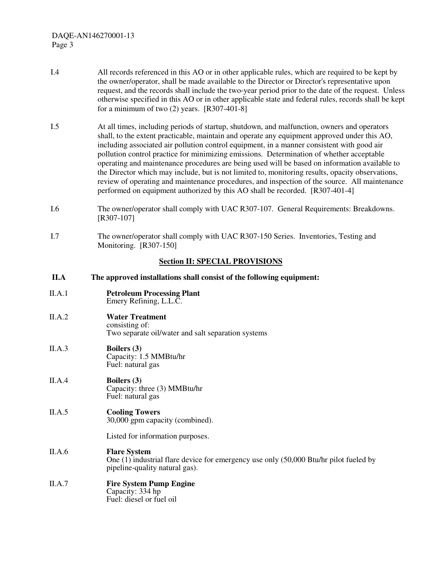- I.4 All records referenced in this AO or in other applicable rules, which are required to be kept by the owner/operator, shall be made available to the Director or Director's representative upon request, and the records shall include the two-year period prior to the date of the request. Unless otherwise specified in this AO or in other applicable state and federal rules, records shall be kept for a minimum of two  $(2)$  years. [R307-401-8]
- I.5 At all times, including periods of startup, shutdown, and malfunction, owners and operators shall, to the extent practicable, maintain and operate any equipment approved under this AO, including associated air pollution control equipment, in a manner consistent with good air pollution control practice for minimizing emissions. Determination of whether acceptable operating and maintenance procedures are being used will be based on information available to the Director which may include, but is not limited to, monitoring results, opacity observations, review of operating and maintenance procedures, and inspection of the source. All maintenance performed on equipment authorized by this AO shall be recorded. [R307-401-4]
- I.6 The owner/operator shall comply with UAC R307-107. General Requirements: Breakdowns. [R307-107]
- I.7 The owner/operator shall comply with UAC R307-150 Series. Inventories, Testing and Monitoring. [R307-150]

#### **Section II: SPECIAL PROVISIONS**

- **II.A The approved installations shall consist of the following equipment:**
- II.A.1 **Petroleum Processing Plant** Emery Refining, L.L.C.
- II.A.2 **Water Treatment** consisting of: Two separate oil/water and salt separation systems
- II.A.3 **Boilers (3)** Capacity: 1.5 MMBtu/hr Fuel: natural gas
- II.A.4 **Boilers (3)** Capacity: three (3) MMBtu/hr Fuel: natural gas

#### II.A.5 **Cooling Towers** 30,000 gpm capacity (combined).

Listed for information purposes.

### II.A.6 **Flare System**

One (1) industrial flare device for emergency use only (50,000 Btu/hr pilot fueled by pipeline-quality natural gas).

### II.A.7 **Fire System Pump Engine**

Capacity: 334 hp Fuel: diesel or fuel oil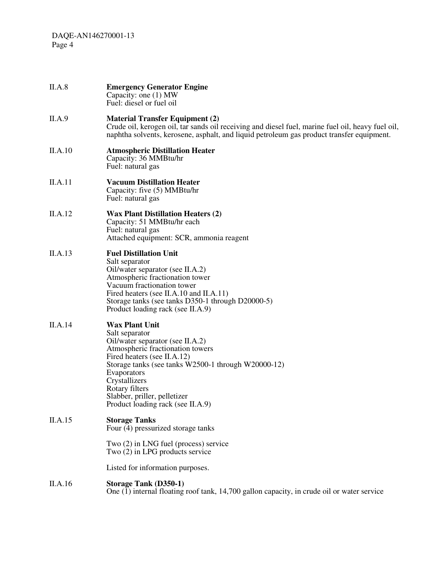| II.A.8  | <b>Emergency Generator Engine</b><br>Capacity: one (1) MW<br>Fuel: diesel or fuel oil                                                                                                                                                                                                                                        |
|---------|------------------------------------------------------------------------------------------------------------------------------------------------------------------------------------------------------------------------------------------------------------------------------------------------------------------------------|
| II.A.9  | <b>Material Transfer Equipment (2)</b><br>Crude oil, kerogen oil, tar sands oil receiving and diesel fuel, marine fuel oil, heavy fuel oil,<br>naphtha solvents, kerosene, asphalt, and liquid petroleum gas product transfer equipment.                                                                                     |
| II.A.10 | <b>Atmospheric Distillation Heater</b><br>Capacity: 36 MMBtu/hr<br>Fuel: natural gas                                                                                                                                                                                                                                         |
| II.A.11 | <b>Vacuum Distillation Heater</b><br>Capacity: five (5) MMBtu/hr<br>Fuel: natural gas                                                                                                                                                                                                                                        |
| II.A.12 | <b>Wax Plant Distillation Heaters (2)</b><br>Capacity: 51 MMBtu/hr each<br>Fuel: natural gas<br>Attached equipment: SCR, ammonia reagent                                                                                                                                                                                     |
| II.A.13 | <b>Fuel Distillation Unit</b><br>Salt separator<br>Oil/water separator (see II.A.2)<br>Atmospheric fractionation tower<br>Vacuum fractionation tower<br>Fired heaters (see II.A.10 and II.A.11)<br>Storage tanks (see tanks D350-1 through D20000-5)<br>Product loading rack (see II.A.9)                                    |
| II.A.14 | <b>Wax Plant Unit</b><br>Salt separator<br>Oil/water separator (see II.A.2)<br>Atmospheric fractionation towers<br>Fired heaters (see II.A.12)<br>Storage tanks (see tanks W2500-1 through W20000-12)<br>Evaporators<br>Crystallizers<br>Rotary filters<br>Slabber, priller, pelletizer<br>Product loading rack (see II.A.9) |
| II.A.15 | <b>Storage Tanks</b><br>Four (4) pressurized storage tanks<br>Two (2) in LNG fuel (process) service<br>Two (2) in LPG products service                                                                                                                                                                                       |
|         | Listed for information purposes.                                                                                                                                                                                                                                                                                             |
| II.A.16 | <b>Storage Tank (D350-1)</b><br>One $(\overline{1})$ internal floating roof tank, 14,700 gallon capacity, in crude oil or water service                                                                                                                                                                                      |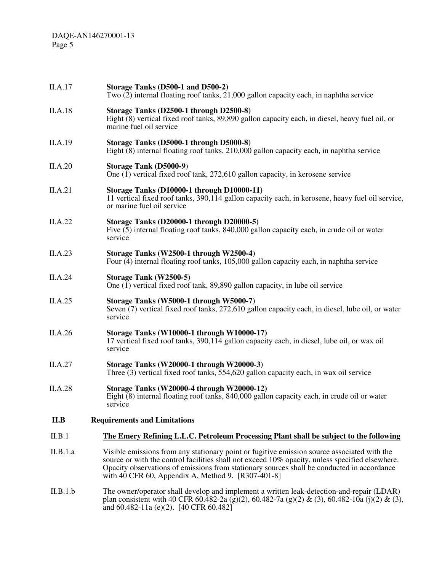| II.A.17  | Storage Tanks (D500-1 and D500-2)<br>Two (2) internal floating roof tanks, 21,000 gallon capacity each, in naphtha service                                                                                                                                                                                                                         |
|----------|----------------------------------------------------------------------------------------------------------------------------------------------------------------------------------------------------------------------------------------------------------------------------------------------------------------------------------------------------|
| II.A.18  | Storage Tanks (D2500-1 through D2500-8)<br>Eight $(8)$ vertical fixed roof tanks, 89,890 gallon capacity each, in diesel, heavy fuel oil, or<br>marine fuel oil service                                                                                                                                                                            |
| II.A.19  | Storage Tanks (D5000-1 through D5000-8)<br>Eight $\overline{8}$ ) internal floating roof tanks, 210,000 gallon capacity each, in naphtha service                                                                                                                                                                                                   |
| II.A.20  | <b>Storage Tank (D5000-9)</b><br>One (1) vertical fixed roof tank, 272,610 gallon capacity, in kerosene service                                                                                                                                                                                                                                    |
| II.A.21  | Storage Tanks (D10000-1 through D10000-11)<br>11 vertical fixed roof tanks, 390,114 gallon capacity each, in kerosene, heavy fuel oil service,<br>or marine fuel oil service                                                                                                                                                                       |
| II.A.22  | Storage Tanks (D20000-1 through D20000-5)<br>Five (5) internal floating roof tanks, 840,000 gallon capacity each, in crude oil or water<br>service                                                                                                                                                                                                 |
| II.A.23  | Storage Tanks (W2500-1 through W2500-4)<br>Four (4) internal floating roof tanks, 105,000 gallon capacity each, in naphtha service                                                                                                                                                                                                                 |
| II.A.24  | Storage Tank (W2500-5)<br>One (1) vertical fixed roof tank, 89,890 gallon capacity, in lube oil service                                                                                                                                                                                                                                            |
| II.A.25  | Storage Tanks (W5000-1 through W5000-7)<br>Seven (7) vertical fixed roof tanks, 272,610 gallon capacity each, in diesel, lube oil, or water<br>service                                                                                                                                                                                             |
| II.A.26  | Storage Tanks (W10000-1 through W10000-17)<br>17 vertical fixed roof tanks, 390,114 gallon capacity each, in diesel, lube oil, or wax oil<br>service                                                                                                                                                                                               |
| II.A.27  | Storage Tanks (W20000-1 through W20000-3)<br>Three (3) vertical fixed roof tanks, 554,620 gallon capacity each, in wax oil service                                                                                                                                                                                                                 |
| II.A.28  | Storage Tanks (W20000-4 through W20000-12)<br>Eight (8) internal floating roof tanks, 840,000 gallon capacity each, in crude oil or water<br>service                                                                                                                                                                                               |
| II.B     | <b>Requirements and Limitations</b>                                                                                                                                                                                                                                                                                                                |
| II.B.1   | The Emery Refining L.L.C. Petroleum Processing Plant shall be subject to the following                                                                                                                                                                                                                                                             |
| II.B.1.a | Visible emissions from any stationary point or fugitive emission source associated with the<br>source or with the control facilities shall not exceed 10% opacity, unless specified elsewhere.<br>Opacity observations of emissions from stationary sources shall be conducted in accordance<br>with 40 CFR 60, Appendix A, Method 9. [R307-401-8] |
| II.B.1.b | The owner/operator shall develop and implement a written leak-detection-and-repair (LDAR)<br>plan consistent with 40 CFR 60.482-2a (g)(2), 60.482-7a (g)(2) & (3), 60.482-10a (j)(2) & (3),<br>and 60.482-11a (e)(2). [40 CFR 60.482]                                                                                                              |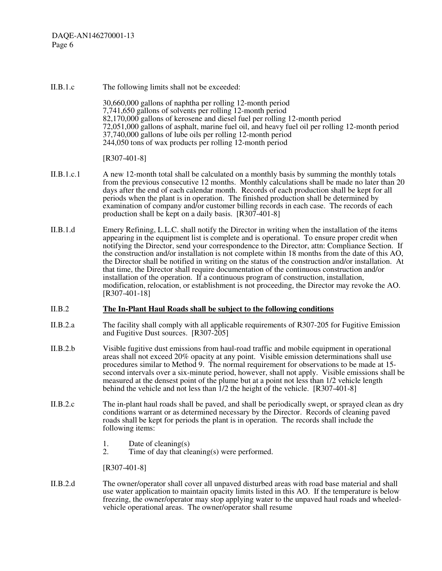II.B.1.c The following limits shall not be exceeded: 30,660,000 gallons of naphtha per rolling 12-month period 7,741,650 gallons of solvents per rolling 12-month period 82,170,000 gallons of kerosene and diesel fuel per rolling 12-month period 72,051,000 gallons of asphalt, marine fuel oil, and heavy fuel oil per rolling 12-month period 37,740,000 gallons of lube oils per rolling 12-month period 244,050 tons of wax products per rolling 12-month period [R307-401-8]

- II.B.1.c.1 A new 12-month total shall be calculated on a monthly basis by summing the monthly totals from the previous consecutive 12 months. Monthly calculations shall be made no later than 20 days after the end of each calendar month. Records of each production shall be kept for all periods when the plant is in operation. The finished production shall be determined by examination of company and/or customer billing records in each case. The records of each production shall be kept on a daily basis.  $[R307-401-8]$
- II.B.1.d Emery Refining, L.L.C. shall notify the Director in writing when the installation of the items appearing in the equipment list is complete and is operational. To ensure proper credit when notifying the Director, send your correspondence to the Director, attn: Compliance Section. If the construction and/or installation is not complete within 18 months from the date of this AO, the Director shall be notified in writing on the status of the construction and/or installation. At that time, the Director shall require documentation of the continuous construction and/or installation of the operation. If a continuous program of construction, installation, modification, relocation, or establishment is not proceeding, the Director may revoke the AO. [R307-401-18]

#### II.B.2 **The In-Plant Haul Roads shall be subject to the following conditions**

- II.B.2.a The facility shall comply with all applicable requirements of R307-205 for Fugitive Emission and Fugitive Dust sources. [R307-205]
- II.B.2.b Visible fugitive dust emissions from haul-road traffic and mobile equipment in operational areas shall not exceed 20% opacity at any point. Visible emission determinations shall use procedures similar to Method 9. The normal requirement for observations to be made at 15 second intervals over a six-minute period, however, shall not apply. Visible emissions shall be measured at the densest point of the plume but at a point not less than 1/2 vehicle length behind the vehicle and not less than  $1/2$  the height of the vehicle. [R307-401-8]
- II.B.2.c The in-plant haul roads shall be paved, and shall be periodically swept, or sprayed clean as dry conditions warrant or as determined necessary by the Director. Records of cleaning paved roads shall be kept for periods the plant is in operation. The records shall include the following items:
	- 1. Date of cleaning(s)  $2.$  Time of day that cleaning
	- Time of day that cleaning(s) were performed.

[R307-401-8]

II.B.2.d The owner/operator shall cover all unpaved disturbed areas with road base material and shall use water application to maintain opacity limits listed in this AO. If the temperature is below freezing, the owner/operator may stop applying water to the unpaved haul roads and wheeledvehicle operational areas. The owner/operator shall resume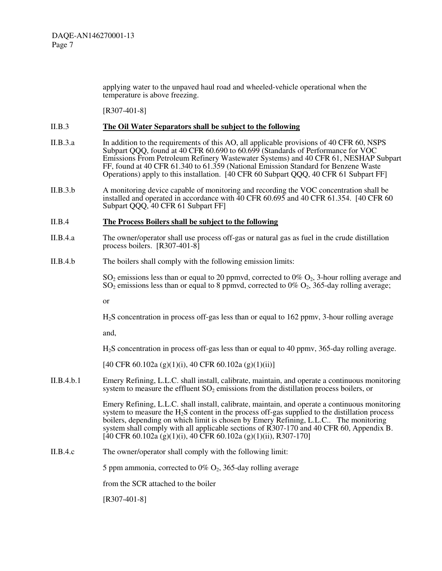applying water to the unpaved haul road and wheeled-vehicle operational when the temperature is above freezing.

[R307-401-8]

#### II.B.3 **The Oil Water Separators shall be subject to the following**

- II.B.3.a In addition to the requirements of this AO, all applicable provisions of 40 CFR 60, NSPS Subpart QQQ, found at 40 CFR 60.690 to 60.699 (Standards of Performance for VOC Emissions From Petroleum Refinery Wastewater Systems) and 40 CFR 61, NESHAP Subpart FF, found at 40 CFR 61.340 to 61.359 (National Emission Standard for Benzene Waste Operations) apply to this installation. [40 CFR 60 Subpart QQQ, 40 CFR 61 Subpart FF]
- II.B.3.b A monitoring device capable of monitoring and recording the VOC concentration shall be installed and operated in accordance with 40 CFR 60.695 and 40 CFR 61.354. [40 CFR 60 Subpart QQQ, 40 CFR 61 Subpart FF]

#### II.B.4 **The Process Boilers shall be subject to the following**

- II.B.4.a The owner/operator shall use process off-gas or natural gas as fuel in the crude distillation process boilers. [R307-401-8]
- II.B.4.b The boilers shall comply with the following emission limits:

 $SO_2$  emissions less than or equal to 20 ppmvd, corrected to 0%  $O_2$ , 3-hour rolling average and  $SO_2$  emissions less than or equal to 8 ppmvd, corrected to 0%  $O_2$ , 365-day rolling average;

or

H2S concentration in process off-gas less than or equal to 162 ppmv, 3-hour rolling average

and,

H2S concentration in process off-gas less than or equal to 40 ppmv, 365-day rolling average.

[40 CFR 60.102a (g)(1)(i), 40 CFR 60.102a (g)(1)(ii)]

II.B.4.b.1 Emery Refining, L.L.C. shall install, calibrate, maintain, and operate a continuous monitoring system to measure the effluent  $SO_2$  emissions from the distillation process boilers, or

> Emery Refining, L.L.C. shall install, calibrate, maintain, and operate a continuous monitoring system to measure the  $H_2S$  content in the process off-gas supplied to the distillation process boilers, depending on which limit is chosen by Emery Refining, L.L.C.. The monitoring system shall comply with all applicable sections of R307-170 and 40 CFR 60, Appendix B.  $[40 \text{ CFR } 60.102a (g)(1)(i), 40 \text{ CFR } 60.102a (g)(1)(ii), R307-170]$

II.B.4.c The owner/operator shall comply with the following limit:

5 ppm ammonia, corrected to 0%  $O_2$ , 365-day rolling average

from the SCR attached to the boiler

[R307-401-8]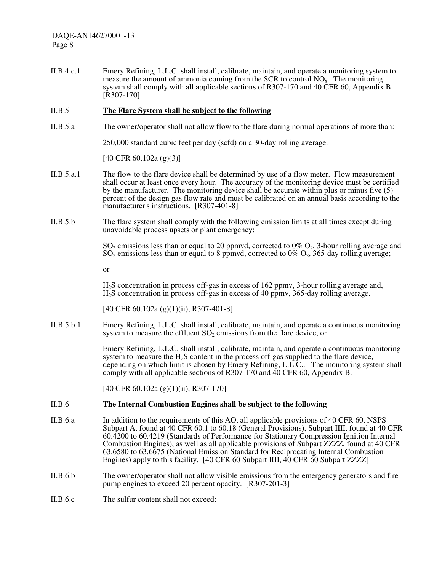II.B.4.c.1 Emery Refining, L.L.C. shall install, calibrate, maintain, and operate a monitoring system to measure the amount of ammonia coming from the SCR to control NO<sub>x</sub>. The monitoring system shall comply with all applicable sections of R307-170 and 40 CFR 60, Appendix B. [R307-170]

#### II.B.5 **The Flare System shall be subject to the following**

II.B.5.a The owner/operator shall not allow flow to the flare during normal operations of more than:

250,000 standard cubic feet per day (scfd) on a 30-day rolling average.

[40 CFR 60.102a (g)(3)]

- II.B.5.a.1 The flow to the flare device shall be determined by use of a flow meter. Flow measurement shall occur at least once every hour. The accuracy of the monitoring device must be certified by the manufacturer. The monitoring device shall be accurate within plus or minus five (5) percent of the design gas flow rate and must be calibrated on an annual basis according to the manufacturer's instructions. [R307-401-8]
- II.B.5.b The flare system shall comply with the following emission limits at all times except during unavoidable process upsets or plant emergency:

 $SO_2$  emissions less than or equal to 20 ppmvd, corrected to 0%  $O_2$ , 3-hour rolling average and  $SO_2$  emissions less than or equal to 8 ppmvd, corrected to 0%  $O_2$ , 365-day rolling average;

or

H2S concentration in process off-gas in excess of 162 ppmv, 3-hour rolling average and, H2S concentration in process off-gas in excess of 40 ppmv, 365-day rolling average.

[40 CFR 60.102a (g)(1)(ii), R307-401-8]

II.B.5.b.1 Emery Refining, L.L.C. shall install, calibrate, maintain, and operate a continuous monitoring system to measure the effluent  $SO_2$  emissions from the flare device, or

> Emery Refining, L.L.C. shall install, calibrate, maintain, and operate a continuous monitoring system to measure the  $H_2S$  content in the process off-gas supplied to the flare device, depending on which limit is chosen by Emery Refining, L.L.C.. The monitoring system shall comply with all applicable sections of R307-170 and  $\overline{40}$  CFR 60, Appendix B.

[40 CFR 60.102a (g)(1)(ii), R307-170]

#### II.B.6 **The Internal Combustion Engines shall be subject to the following**

- II.B.6.a In addition to the requirements of this AO, all applicable provisions of 40 CFR 60, NSPS Subpart A, found at 40 CFR 60.1 to 60.18 (General Provisions), Subpart IIII, found at 40 CFR 60.4200 to 60.4219 (Standards of Performance for Stationary Compression Ignition Internal Combustion Engines), as well as all applicable provisions of Subpart ZZZZ, found at 40 CFR 63.6580 to 63.6675 (National Emission Standard for Reciprocating Internal Combustion Engines) apply to this facility. [40 CFR 60 Subpart IIII, 40 CFR 60 Subpart ZZZZ]
- II.B.6.b The owner/operator shall not allow visible emissions from the emergency generators and fire pump engines to exceed 20 percent opacity. [R307-201-3]
- II.B.6.c The sulfur content shall not exceed: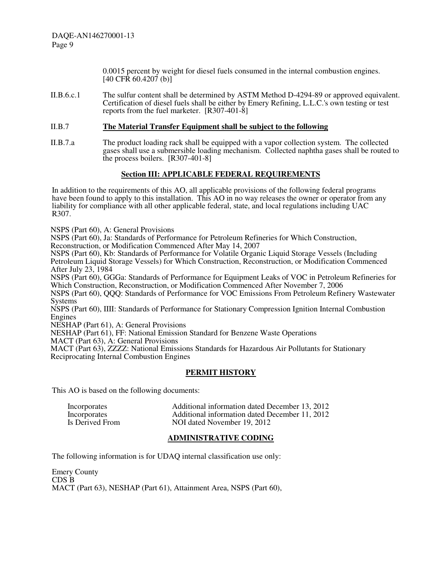> 0.0015 percent by weight for diesel fuels consumed in the internal combustion engines.  $[40 \text{ CF} \hat{R} 60.4207 \text{ (b)}]$

II.B.6.c.1 The sulfur content shall be determined by ASTM Method D-4294-89 or approved equivalent. Certification of diesel fuels shall be either by Emery Refining, L.L.C.'s own testing or test reports from the fuel marketer. [R307-401-8]

#### II.B.7 **The Material Transfer Equipment shall be subject to the following**

II.B.7.a The product loading rack shall be equipped with a vapor collection system. The collected gases shall use a submersible loading mechanism. Collected naphtha gases shall be routed to the process boilers. [R307-401-8]

#### **Section III: APPLICABLE FEDERAL REQUIREMENTS**

In addition to the requirements of this AO, all applicable provisions of the following federal programs have been found to apply to this installation. This AO in no way releases the owner or operator from any liability for compliance with all other applicable federal, state, and local regulations including UAC R307.

NSPS (Part 60), A: General Provisions

NSPS (Part 60), Ja: Standards of Performance for Petroleum Refineries for Which Construction,

Reconstruction, or Modification Commenced After May 14, 2007

NSPS (Part 60), Kb: Standards of Performance for Volatile Organic Liquid Storage Vessels (Including Petroleum Liquid Storage Vessels) for Which Construction, Reconstruction, or Modification Commenced After July 23, 1984

NSPS (Part 60), GGGa: Standards of Performance for Equipment Leaks of VOC in Petroleum Refineries for Which Construction, Reconstruction, or Modification Commenced After November 7, 2006

NSPS (Part 60), QQQ: Standards of Performance for VOC Emissions From Petroleum Refinery Wastewater Systems

NSPS (Part 60), IIII: Standards of Performance for Stationary Compression Ignition Internal Combustion Engines

NESHAP (Part 61), A: General Provisions

NESHAP (Part 61), FF: National Emission Standard for Benzene Waste Operations

MACT (Part 63), A: General Provisions

MACT (Part 63), ZZZZ: National Emissions Standards for Hazardous Air Pollutants for Stationary Reciprocating Internal Combustion Engines

#### **PERMIT HISTORY**

This AO is based on the following documents:

| Incorporates    | Additional information dated December 13, 2012 |
|-----------------|------------------------------------------------|
| Incorporates    | Additional information dated December 11, 2012 |
| Is Derived From | NOI dated November 19, 2012                    |

#### **ADMINISTRATIVE CODING**

The following information is for UDAQ internal classification use only:

Emery County CDS B MACT (Part 63), NESHAP (Part 61), Attainment Area, NSPS (Part 60),